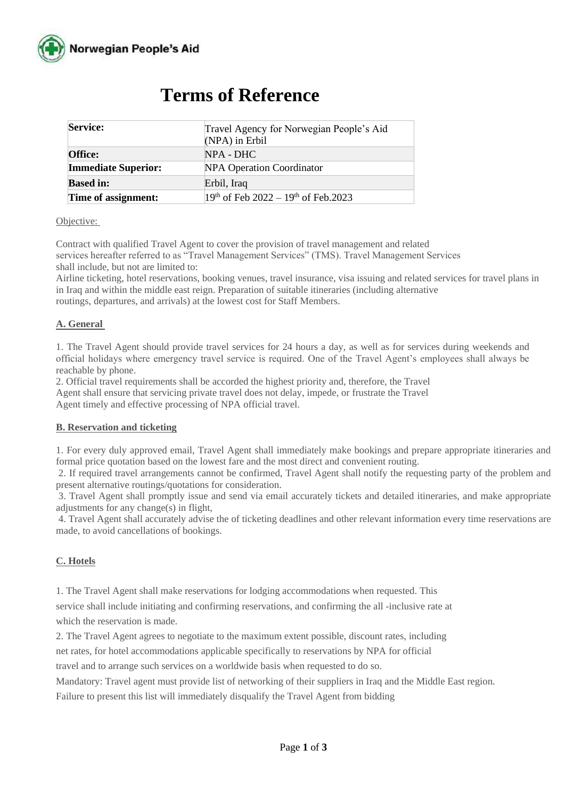

| <b>Service:</b>            | Travel Agency for Norwegian People's Aid<br>$(NPA)$ in Erbil |
|----------------------------|--------------------------------------------------------------|
| <b>Office:</b>             | $NPA - DHC$                                                  |
| <b>Immediate Superior:</b> | <b>NPA Operation Coordinator</b>                             |
| <b>Based in:</b>           | Erbil, Iraq                                                  |
| Time of assignment:        | $19th$ of Feb 2022 – $19th$ of Feb.2023                      |

# **Terms of Reference**

#### Objective:

Contract with qualified Travel Agent to cover the provision of travel management and related services hereafter referred to as "Travel Management Services" (TMS). Travel Management Services shall include, but not are limited to:

Airline ticketing, hotel reservations, booking venues, travel insurance, visa issuing and related services for travel plans in in Iraq and within the middle east reign. Preparation of suitable itineraries (including alternative routings, departures, and arrivals) at the lowest cost for Staff Members.

#### **A. General**

1. The Travel Agent should provide travel services for 24 hours a day, as well as for services during weekends and official holidays where emergency travel service is required. One of the Travel Agent's employees shall always be reachable by phone.

2. Official travel requirements shall be accorded the highest priority and, therefore, the Travel Agent shall ensure that servicing private travel does not delay, impede, or frustrate the Travel Agent timely and effective processing of NPA official travel.

#### **B. Reservation and ticketing**

1. For every duly approved email, Travel Agent shall immediately make bookings and prepare appropriate itineraries and formal price quotation based on the lowest fare and the most direct and convenient routing.

2. If required travel arrangements cannot be confirmed, Travel Agent shall notify the requesting party of the problem and present alternative routings/quotations for consideration.

3. Travel Agent shall promptly issue and send via email accurately tickets and detailed itineraries, and make appropriate adjustments for any change(s) in flight,

4. Travel Agent shall accurately advise the of ticketing deadlines and other relevant information every time reservations are made, to avoid cancellations of bookings.

### **C. Hotels**

1. The Travel Agent shall make reservations for lodging accommodations when requested. This

service shall include initiating and confirming reservations, and confirming the all -inclusive rate at which the reservation is made.

2. The Travel Agent agrees to negotiate to the maximum extent possible, discount rates, including

net rates, for hotel accommodations applicable specifically to reservations by NPA for official

travel and to arrange such services on a worldwide basis when requested to do so.

Mandatory: Travel agent must provide list of networking of their suppliers in Iraq and the Middle East region. Failure to present this list will immediately disqualify the Travel Agent from bidding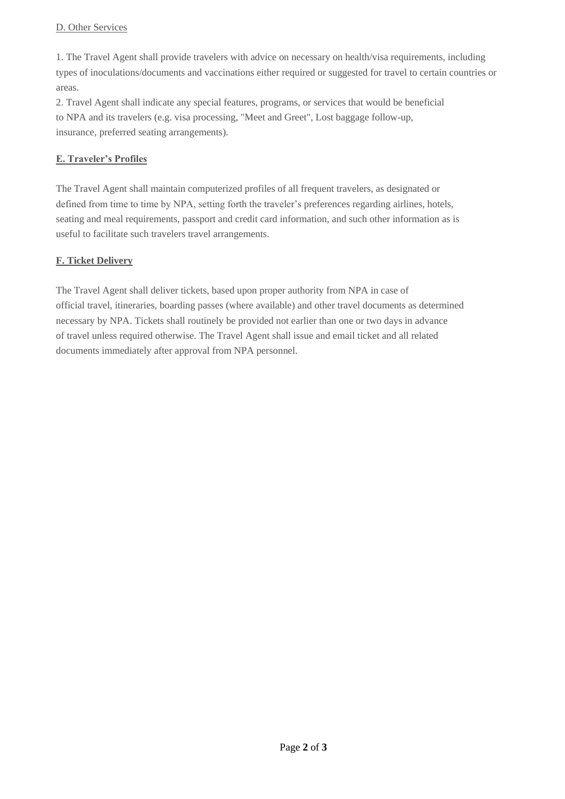#### D. Other Services

1. The Travel Agent shall provide travelers with advice on necessary on health/visa requirements, including types of inoculations/documents and vaccinations either required or suggested for travel to certain countries or areas.

2. Travel Agent shall indicate any special features, programs, or services that would be beneficial to NPA and its travelers (e.g. visa processing, "Meet and Greet", Lost baggage follow-up, insurance, preferred seating arrangements).

## **E. Traveler's Profiles**

The Travel Agent shall maintain computerized profiles of all frequent travelers, as designated or defined from time to time by NPA, setting forth the traveler's preferences regarding airlines, hotels, seating and meal requirements, passport and credit card information, and such other information as is useful to facilitate such travelers travel arrangements.

## **F. Ticket Delivery**

The Travel Agent shall deliver tickets, based upon proper authority from NPA in case of official travel, itineraries, boarding passes (where available) and other travel documents as determined necessary by NPA. Tickets shall routinely be provided not earlier than one or two days in advance of travel unless required otherwise. The Travel Agent shall issue and email ticket and all related documents immediately after approval from NPA personnel.